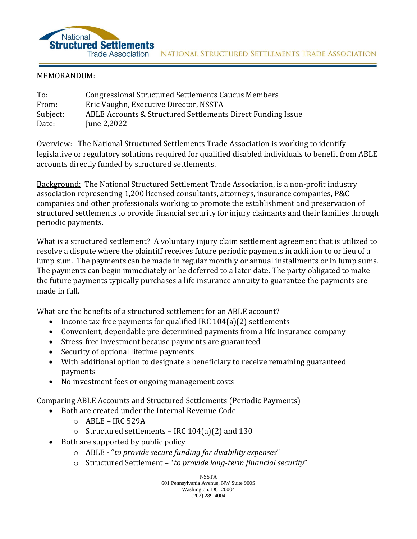

## MEMORANDUM:

| To:      | <b>Congressional Structured Settlements Caucus Members</b>  |
|----------|-------------------------------------------------------------|
| From:    | Eric Vaughn, Executive Director, NSSTA                      |
| Subject: | ABLE Accounts & Structured Settlements Direct Funding Issue |
| Date:    | June 2,2022                                                 |

Overview: The National Structured Settlements Trade Association is working to identify legislative or regulatory solutions required for qualified disabled individuals to benefit from ABLE accounts directly funded by structured settlements.

Background: The National Structured Settlement Trade Association, is a non-profit industry association representing 1,200 licensed consultants, attorneys, insurance companies, P&C companies and other professionals working to promote the establishment and preservation of structured settlements to provide financial security for injury claimants and their families through periodic payments.

What is a structured settlement? A voluntary injury claim settlement agreement that is utilized to resolve a dispute where the plaintiff receives future periodic payments in addition to or lieu of a lump sum. The payments can be made in regular monthly or annual installments or in lump sums. The payments can begin immediately or be deferred to a later date. The party obligated to make the future payments typically purchases a life insurance annuity to guarantee the payments are made in full.

What are the benefits of a structured settlement for an ABLE account?

- Income tax-free payments for qualified IRC 104(a)(2) settlements
- Convenient, dependable pre-determined payments from a life insurance company
- Stress-free investment because payments are guaranteed
- Security of optional lifetime payments
- With additional option to designate a beneficiary to receive remaining guaranteed payments
- No investment fees or ongoing management costs

Comparing ABLE Accounts and Structured Settlements (Periodic Payments)

- Both are created under the Internal Revenue Code
	- $O$  ABLE IRC 529A
	- o Structured settlements IRC 104(a)(2) and 130
- Both are supported by public policy
	- o ABLE "*to provide secure funding for disability expenses*"
	- o Structured Settlement "*to provide long-term financial security*"

NSSTA 601 Pennsylvania Avenue, NW Suite 900S Washington, DC 20004 (202) 289-4004